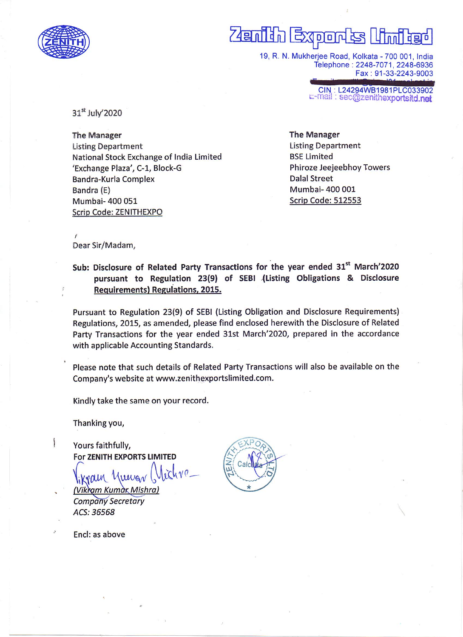

# $\sqrt{4}$ andan  $D$ <sup> $\Box$ </sup>

19, R. N. Mukherjee Road, Kolkata - 700 001, India Telephone: 2248-7071, 2248-6936 Fax : 91-33-2243-9003

CIN : L24294WB1981PLC033902<br>E-mail : sec@zenithexportsitd.net

31<sup>st</sup> July'2020

The Manager listing Department National Stock Exchange of India Limited 'Exchange Plaza', C-1, Block-G Bandra-Kurla Complex Bandra (E) Mumbai- 400 051 Scrip Code: ZENITHEXPO

The Manager Listing Department BSE Limited Phiroze Jeejeebhoy Towers Dalal Street Mumbai- 400 001 Scrip Code: 512553

f Dear Sir/Madam,

Sub: Disclosure of Related Party Transactions for the year ended 31<sup>st</sup> March'2020 pursuant to Regulation 23(9) of SEBI (Listing Obligations & Disclosure Requirements) Reguiations,2015.

Pursuant to Regulation 23(9) of SEBI (Listing Obligation and Disclosure Requirements) Regulations, 2015, as amended, please find enclosed herewith the Disclosure of Related Party Transactions for the year ended 31st March'2020, prepared in the accordance with applicable Accounting Standards.

Please note that such details of Related Party Transactions will also be available on the Company's website at www.zenithexportslimited.com.

Kindly take the same on your record.

Thanking you,

۱

Yours faithfully, For ZENITH EXPORTS LIMITED

 $i\zeta h\nu\rho_-$ (Vikram Kumax Mishra) **Company Secretary** ACS: 36568

 $C<sub>2</sub>$ 

Encl: as above